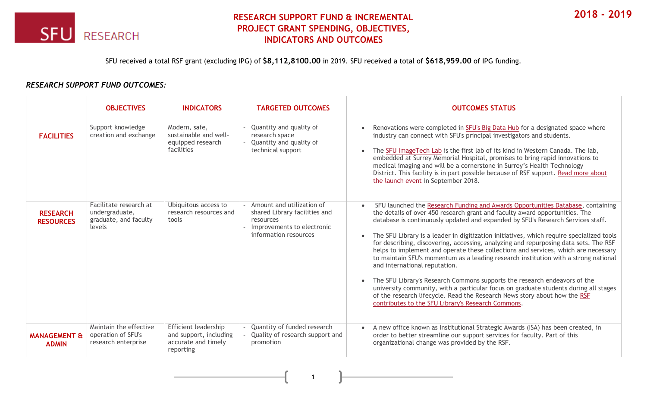

## **RESEARCH SUPPORT FUND & INCREMENTAL PROJECT GRANT SPENDING, OBJECTIVES, INDICATORS AND OUTCOMES**

SFU received a total RSF grant (excluding IPG) of **\$8,112,8100.00** in 2019. SFU received a total of **\$618,959.00** of IPG funding.

## *RESEARCH SUPPORT FUND OUTCOMES:*

|                                         | <b>OBJECTIVES</b>                                                           | <b>INDICATORS</b>                                                                         | <b>TARGETED OUTCOMES</b>                                                                                                           | <b>OUTCOMES STATUS</b>                                                                                                                                                                                                                                                                                                                                                                                                                                                                                                                                                                                                                                                                                                                                                                                                                                                                                                                                                                |
|-----------------------------------------|-----------------------------------------------------------------------------|-------------------------------------------------------------------------------------------|------------------------------------------------------------------------------------------------------------------------------------|---------------------------------------------------------------------------------------------------------------------------------------------------------------------------------------------------------------------------------------------------------------------------------------------------------------------------------------------------------------------------------------------------------------------------------------------------------------------------------------------------------------------------------------------------------------------------------------------------------------------------------------------------------------------------------------------------------------------------------------------------------------------------------------------------------------------------------------------------------------------------------------------------------------------------------------------------------------------------------------|
| <b>FACILITIES</b>                       | Support knowledge<br>creation and exchange                                  | Modern, safe,<br>sustainable and well-<br>equipped research<br>facilities                 | Quantity and quality of<br>research space<br>Quantity and quality of<br>technical support                                          | Renovations were completed in SFU's Big Data Hub for a designated space where<br>industry can connect with SFU's principal investigators and students.<br>The SFU ImageTech Lab is the first lab of its kind in Western Canada. The lab,<br>$\bullet$<br>embedded at Surrey Memorial Hospital, promises to bring rapid innovations to<br>medical imaging and will be a cornerstone in Surrey's Health Technology<br>District. This facility is in part possible because of RSF support. Read more about<br>the launch event in September 2018.                                                                                                                                                                                                                                                                                                                                                                                                                                        |
| <b>RESEARCH</b><br><b>RESOURCES</b>     | Facilitate research at<br>undergraduate,<br>graduate, and faculty<br>levels | Ubiquitous access to<br>research resources and<br>tools                                   | - Amount and utilization of<br>shared Library facilities and<br>resources<br>- Improvements to electronic<br>information resources | SFU launched the Research Funding and Awards Opportunities Database, containing<br>$\bullet$<br>the details of over 450 research grant and faculty award opportunities. The<br>database is continuously updated and expanded by SFU's Research Services staff.<br>The SFU Library is a leader in digitization initiatives, which require specialized tools<br>for describing, discovering, accessing, analyzing and repurposing data sets. The RSF<br>helps to implement and operate these collections and services, which are necessary<br>to maintain SFU's momentum as a leading research institution with a strong national<br>and international reputation.<br>The SFU Library's Research Commons supports the research endeavors of the<br>$\bullet$<br>university community, with a particular focus on graduate students during all stages<br>of the research lifecycle. Read the Research News story about how the RSF<br>contributes to the SFU Library's Research Commons. |
| <b>MANAGEMENT &amp;</b><br><b>ADMIN</b> | Maintain the effective<br>operation of SFU's<br>research enterprise         | <b>Efficient leadership</b><br>and support, including<br>accurate and timely<br>reporting | Quantity of funded research<br>Quality of research support and<br>promotion                                                        | A new office known as Institutional Strategic Awards (ISA) has been created, in<br>$\bullet$<br>order to better streamline our support services for faculty. Part of this<br>organizational change was provided by the RSF.                                                                                                                                                                                                                                                                                                                                                                                                                                                                                                                                                                                                                                                                                                                                                           |

1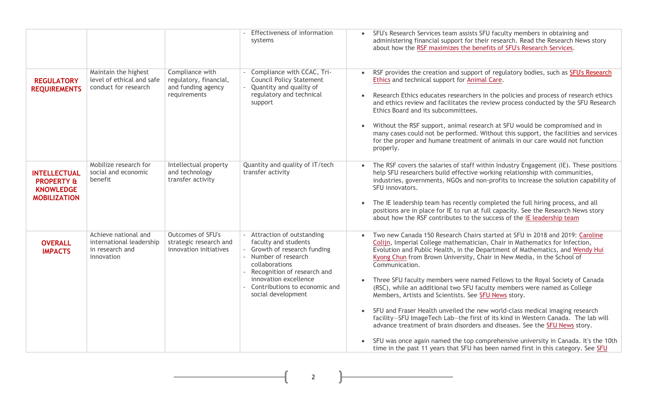|                                                                                         |                                                                                   |                                                                                 | Effectiveness of information<br>systems                                                                                                                                                                                                      | • SFU's Research Services team assists SFU faculty members in obtaining and<br>administering financial support for their research. Read the Research News story<br>about how the RSF maximizes the benefits of SFU's Research Services.                                                                                                                                                                                                                                                                                                                                                                                                                                                                                                                                                                                                                                                                                                                                                |
|-----------------------------------------------------------------------------------------|-----------------------------------------------------------------------------------|---------------------------------------------------------------------------------|----------------------------------------------------------------------------------------------------------------------------------------------------------------------------------------------------------------------------------------------|----------------------------------------------------------------------------------------------------------------------------------------------------------------------------------------------------------------------------------------------------------------------------------------------------------------------------------------------------------------------------------------------------------------------------------------------------------------------------------------------------------------------------------------------------------------------------------------------------------------------------------------------------------------------------------------------------------------------------------------------------------------------------------------------------------------------------------------------------------------------------------------------------------------------------------------------------------------------------------------|
| <b>REGULATORY</b><br><b>REQUIREMENTS</b>                                                | Maintain the highest<br>level of ethical and safe<br>conduct for research         | Compliance with<br>regulatory, financial,<br>and funding agency<br>requirements | Compliance with CCAC, Tri-<br><b>Council Policy Statement</b><br>Quantity and quality of<br>regulatory and technical<br>support                                                                                                              | RSF provides the creation and support of regulatory bodies, such as SFU's Research<br>$\bullet$<br>Ethics and technical support for Animal Care.<br>Research Ethics educates researchers in the policies and process of research ethics<br>and ethics review and facilitates the review process conducted by the SFU Research<br>Ethics Board and its subcommittees.<br>Without the RSF support, animal research at SFU would be compromised and in<br>many cases could not be performed. Without this support, the facilities and services<br>for the proper and humane treatment of animals in our care would not function<br>properly.                                                                                                                                                                                                                                                                                                                                              |
| <b>INTELLECTUAL</b><br><b>PROPERTY &amp;</b><br><b>KNOWLEDGE</b><br><b>MOBILIZATION</b> | Mobilize research for<br>social and economic<br>benefit                           | Intellectual property<br>and technology<br>transfer activity                    | Quantity and quality of IT/tech<br>transfer activity                                                                                                                                                                                         | The RSF covers the salaries of staff within Industry Engagement (IE). These positions<br>help SFU researchers build effective working relationship with communities,<br>industries, governments, NGOs and non-profits to increase the solution capability of<br>SFU innovators.<br>The IE leadership team has recently completed the full hiring process, and all<br>positions are in place for IE to run at full capacity. See the Research News story<br>about how the RSF contributes to the success of the IE leadership team                                                                                                                                                                                                                                                                                                                                                                                                                                                      |
| <b>OVERALL</b><br><b>IMPACTS</b>                                                        | Achieve national and<br>international leadership<br>in research and<br>innovation | <b>Outcomes of SFU's</b><br>strategic research and<br>innovation initiatives    | - Attraction of outstanding<br>faculty and students<br>Growth of research funding<br>- Number of research<br>collaborations<br>- Recognition of research and<br>innovation excellence<br>Contributions to economic and<br>social development | Two new Canada 150 Research Chairs started at SFU in 2018 and 2019: Caroline<br>Colijn, Imperial College mathematician, Chair in Mathematics for Infection,<br>Evolution and Public Health, in the Department of Mathematics, and Wendy Hui<br>Kyong Chun from Brown University, Chair in New Media, in the School of<br>Communication.<br>Three SFU faculty members were named Fellows to the Royal Society of Canada<br>(RSC), while an additional two SFU faculty members were named as College<br>Members, Artists and Scientists. See SFU News story.<br>SFU and Fraser Health unveiled the new world-class medical imaging research<br>facility-SFU ImageTech Lab-the first of its kind in Western Canada. The lab will<br>advance treatment of brain disorders and diseases. See the SFU News story.<br>SFU was once again named the top comprehensive university in Canada. It's the 10th<br>time in the past 11 years that SFU has been named first in this category. See SFU |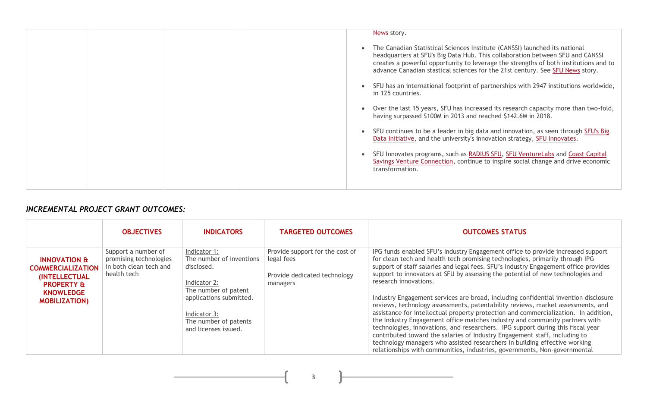| News story.                                                                                                                                                                                                                                                                                                                          |
|--------------------------------------------------------------------------------------------------------------------------------------------------------------------------------------------------------------------------------------------------------------------------------------------------------------------------------------|
|                                                                                                                                                                                                                                                                                                                                      |
| The Canadian Statistical Sciences Institute (CANSSI) launched its national<br>headquarters at SFU's Big Data Hub. This collaboration between SFU and CANSSI<br>creates a powerful opportunity to leverage the strengths of both institutions and to<br>advance Canadian stastical sciences for the 21st century. See SFU News story. |
| SFU has an international footprint of partnerships with 2947 institutions worldwide,<br>in 125 countries.                                                                                                                                                                                                                            |
| Over the last 15 years, SFU has increased its research capacity more than two-fold,<br>having surpassed \$100M in 2013 and reached \$142.6M in 2018.                                                                                                                                                                                 |
| SFU continues to be a leader in big data and innovation, as seen through SFU's Big<br>Data Initiative, and the university's innovation strategy, SFU Innovates.                                                                                                                                                                      |
| SFU Innovates programs, such as RADIUS SFU, SFU VentureLabs and Coast Capital<br>Savings Venture Connection, continue to inspire social change and drive economic<br>transformation.                                                                                                                                                 |
|                                                                                                                                                                                                                                                                                                                                      |

## *INCREMENTAL PROJECT GRANT OUTCOMES:*

|                                                                                                                                                   | <b>OBJECTIVES</b>                                                                      | <b>INDICATORS</b>                                                                              | <b>TARGETED OUTCOMES</b>                                                                  | <b>OUTCOMES STATUS</b>                                                                                                                                                                                                                                                                                                                                                                                                                                                                                                                                                                                                                                                   |
|---------------------------------------------------------------------------------------------------------------------------------------------------|----------------------------------------------------------------------------------------|------------------------------------------------------------------------------------------------|-------------------------------------------------------------------------------------------|--------------------------------------------------------------------------------------------------------------------------------------------------------------------------------------------------------------------------------------------------------------------------------------------------------------------------------------------------------------------------------------------------------------------------------------------------------------------------------------------------------------------------------------------------------------------------------------------------------------------------------------------------------------------------|
| <b>INNOVATION &amp;</b><br><b>COMMERCIALIZATION</b><br><b>(INTELLECTUAL)</b><br><b>PROPERTY &amp;</b><br><b>KNOWLEDGE</b><br><b>MOBILIZATION)</b> | Support a number of<br>promising technologies<br>in both clean tech and<br>health tech | Indicator 1:<br>The number of inventions<br>disclosed.<br>Indicator 2:<br>The number of patent | Provide support for the cost of<br>legal fees<br>Provide dedicated technology<br>managers | IPG funds enabled SFU's Industry Engagement office to provide increased support<br>for clean tech and health tech promising technologies, primarily through IPG<br>support of staff salaries and legal fees. SFU's Industry Engagement office provides<br>support to innovators at SFU by assessing the potential of new technologies and<br>research innovations.                                                                                                                                                                                                                                                                                                       |
|                                                                                                                                                   |                                                                                        | applications submitted.<br>Indicator 3:<br>The number of patents<br>and licenses issued.       |                                                                                           | Industry Engagement services are broad, including confidential invention disclosure<br>reviews, technology assessments, patentability reviews, market assessments, and<br>assistance for intellectual property protection and commercialization. In addition,<br>the Industry Engagement office matches industry and community partners with<br>technologies, innovations, and researchers. IPG support during this fiscal year<br>contributed toward the salaries of Industry Engagement staff, including to<br>technology managers who assisted researchers in building effective working<br>relationships with communities, industries, governments, Non-governmental |